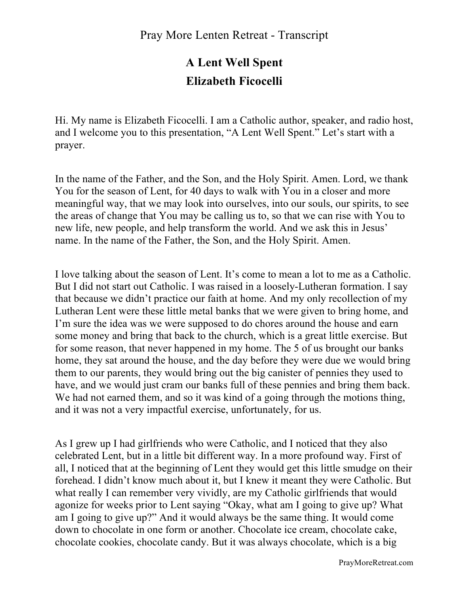# **A Lent Well Spent Elizabeth Ficocelli**

Hi. My name is Elizabeth Ficocelli. I am a Catholic author, speaker, and radio host, and I welcome you to this presentation, "A Lent Well Spent." Let's start with a prayer.

In the name of the Father, and the Son, and the Holy Spirit. Amen. Lord, we thank You for the season of Lent, for 40 days to walk with You in a closer and more meaningful way, that we may look into ourselves, into our souls, our spirits, to see the areas of change that You may be calling us to, so that we can rise with You to new life, new people, and help transform the world. And we ask this in Jesus' name. In the name of the Father, the Son, and the Holy Spirit. Amen.

I love talking about the season of Lent. It's come to mean a lot to me as a Catholic. But I did not start out Catholic. I was raised in a loosely-Lutheran formation. I say that because we didn't practice our faith at home. And my only recollection of my Lutheran Lent were these little metal banks that we were given to bring home, and I'm sure the idea was we were supposed to do chores around the house and earn some money and bring that back to the church, which is a great little exercise. But for some reason, that never happened in my home. The 5 of us brought our banks home, they sat around the house, and the day before they were due we would bring them to our parents, they would bring out the big canister of pennies they used to have, and we would just cram our banks full of these pennies and bring them back. We had not earned them, and so it was kind of a going through the motions thing, and it was not a very impactful exercise, unfortunately, for us.

As I grew up I had girlfriends who were Catholic, and I noticed that they also celebrated Lent, but in a little bit different way. In a more profound way. First of all, I noticed that at the beginning of Lent they would get this little smudge on their forehead. I didn't know much about it, but I knew it meant they were Catholic. But what really I can remember very vividly, are my Catholic girlfriends that would agonize for weeks prior to Lent saying "Okay, what am I going to give up? What am I going to give up?" And it would always be the same thing. It would come down to chocolate in one form or another. Chocolate ice cream, chocolate cake, chocolate cookies, chocolate candy. But it was always chocolate, which is a big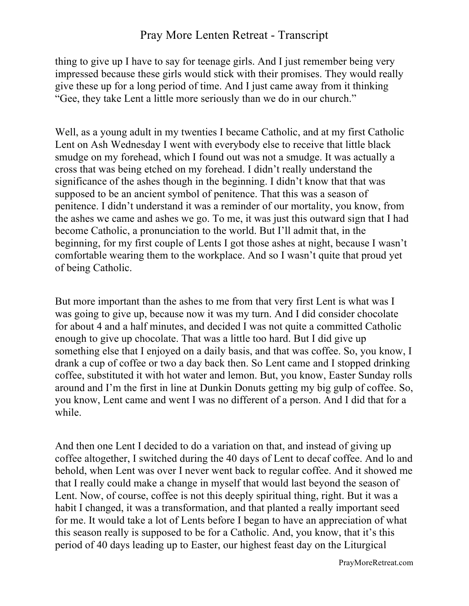thing to give up I have to say for teenage girls. And I just remember being very impressed because these girls would stick with their promises. They would really give these up for a long period of time. And I just came away from it thinking "Gee, they take Lent a little more seriously than we do in our church."

Well, as a young adult in my twenties I became Catholic, and at my first Catholic Lent on Ash Wednesday I went with everybody else to receive that little black smudge on my forehead, which I found out was not a smudge. It was actually a cross that was being etched on my forehead. I didn't really understand the significance of the ashes though in the beginning. I didn't know that that was supposed to be an ancient symbol of penitence. That this was a season of penitence. I didn't understand it was a reminder of our mortality, you know, from the ashes we came and ashes we go. To me, it was just this outward sign that I had become Catholic, a pronunciation to the world. But I'll admit that, in the beginning, for my first couple of Lents I got those ashes at night, because I wasn't comfortable wearing them to the workplace. And so I wasn't quite that proud yet of being Catholic.

But more important than the ashes to me from that very first Lent is what was I was going to give up, because now it was my turn. And I did consider chocolate for about 4 and a half minutes, and decided I was not quite a committed Catholic enough to give up chocolate. That was a little too hard. But I did give up something else that I enjoyed on a daily basis, and that was coffee. So, you know, I drank a cup of coffee or two a day back then. So Lent came and I stopped drinking coffee, substituted it with hot water and lemon. But, you know, Easter Sunday rolls around and I'm the first in line at Dunkin Donuts getting my big gulp of coffee. So, you know, Lent came and went I was no different of a person. And I did that for a while.

And then one Lent I decided to do a variation on that, and instead of giving up coffee altogether, I switched during the 40 days of Lent to decaf coffee. And lo and behold, when Lent was over I never went back to regular coffee. And it showed me that I really could make a change in myself that would last beyond the season of Lent. Now, of course, coffee is not this deeply spiritual thing, right. But it was a habit I changed, it was a transformation, and that planted a really important seed for me. It would take a lot of Lents before I began to have an appreciation of what this season really is supposed to be for a Catholic. And, you know, that it's this period of 40 days leading up to Easter, our highest feast day on the Liturgical

PrayMoreRetreat.com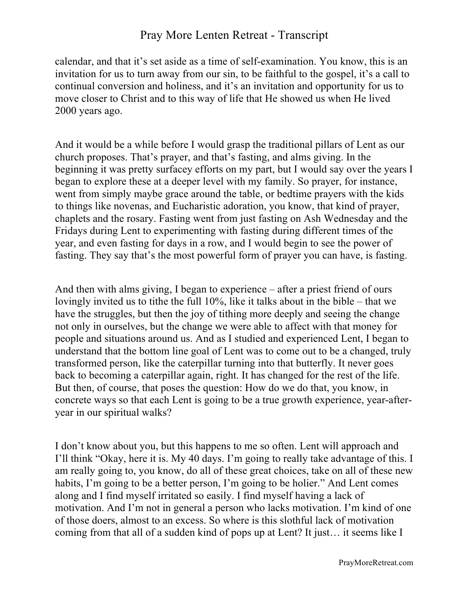calendar, and that it's set aside as a time of self-examination. You know, this is an invitation for us to turn away from our sin, to be faithful to the gospel, it's a call to continual conversion and holiness, and it's an invitation and opportunity for us to move closer to Christ and to this way of life that He showed us when He lived 2000 years ago.

And it would be a while before I would grasp the traditional pillars of Lent as our church proposes. That's prayer, and that's fasting, and alms giving. In the beginning it was pretty surfacey efforts on my part, but I would say over the years I began to explore these at a deeper level with my family. So prayer, for instance, went from simply maybe grace around the table, or bedtime prayers with the kids to things like novenas, and Eucharistic adoration, you know, that kind of prayer, chaplets and the rosary. Fasting went from just fasting on Ash Wednesday and the Fridays during Lent to experimenting with fasting during different times of the year, and even fasting for days in a row, and I would begin to see the power of fasting. They say that's the most powerful form of prayer you can have, is fasting.

And then with alms giving, I began to experience – after a priest friend of ours lovingly invited us to tithe the full 10%, like it talks about in the bible – that we have the struggles, but then the joy of tithing more deeply and seeing the change not only in ourselves, but the change we were able to affect with that money for people and situations around us. And as I studied and experienced Lent, I began to understand that the bottom line goal of Lent was to come out to be a changed, truly transformed person, like the caterpillar turning into that butterfly. It never goes back to becoming a caterpillar again, right. It has changed for the rest of the life. But then, of course, that poses the question: How do we do that, you know, in concrete ways so that each Lent is going to be a true growth experience, year-afteryear in our spiritual walks?

I don't know about you, but this happens to me so often. Lent will approach and I'll think "Okay, here it is. My 40 days. I'm going to really take advantage of this. I am really going to, you know, do all of these great choices, take on all of these new habits, I'm going to be a better person, I'm going to be holier." And Lent comes along and I find myself irritated so easily. I find myself having a lack of motivation. And I'm not in general a person who lacks motivation. I'm kind of one of those doers, almost to an excess. So where is this slothful lack of motivation coming from that all of a sudden kind of pops up at Lent? It just… it seems like I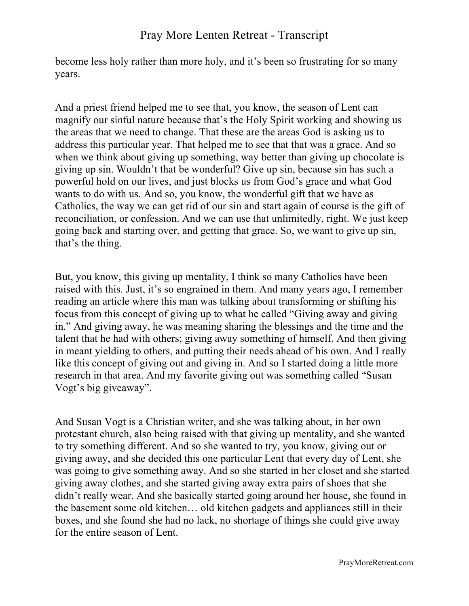become less holy rather than more holy, and it's been so frustrating for so many years.

And a priest friend helped me to see that, you know, the season of Lent can magnify our sinful nature because that's the Holy Spirit working and showing us the areas that we need to change. That these are the areas God is asking us to address this particular year. That helped me to see that that was a grace. And so when we think about giving up something, way better than giving up chocolate is giving up sin. Wouldn't that be wonderful? Give up sin, because sin has such a powerful hold on our lives, and just blocks us from God's grace and what God wants to do with us. And so, you know, the wonderful gift that we have as Catholics, the way we can get rid of our sin and start again of course is the gift of reconciliation, or confession. And we can use that unlimitedly, right. We just keep going back and starting over, and getting that grace. So, we want to give up sin, that's the thing.

But, you know, this giving up mentality, I think so many Catholics have been raised with this. Just, it's so engrained in them. And many years ago, I remember reading an article where this man was talking about transforming or shifting his focus from this concept of giving up to what he called "Giving away and giving in." And giving away, he was meaning sharing the blessings and the time and the talent that he had with others; giving away something of himself. And then giving in meant yielding to others, and putting their needs ahead of his own. And I really like this concept of giving out and giving in. And so I started doing a little more research in that area. And my favorite giving out was something called "Susan Vogt's big giveaway".

And Susan Vogt is a Christian writer, and she was talking about, in her own protestant church, also being raised with that giving up mentality, and she wanted to try something different. And so she wanted to try, you know, giving out or giving away, and she decided this one particular Lent that every day of Lent, she was going to give something away. And so she started in her closet and she started giving away clothes, and she started giving away extra pairs of shoes that she didn't really wear. And she basically started going around her house, she found in the basement some old kitchen… old kitchen gadgets and appliances still in their boxes, and she found she had no lack, no shortage of things she could give away for the entire season of Lent.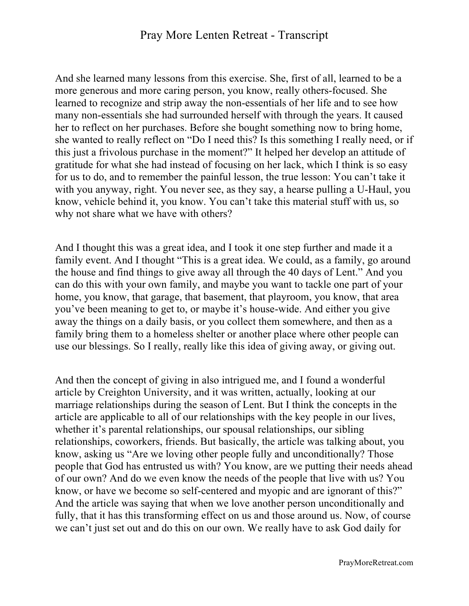And she learned many lessons from this exercise. She, first of all, learned to be a more generous and more caring person, you know, really others-focused. She learned to recognize and strip away the non-essentials of her life and to see how many non-essentials she had surrounded herself with through the years. It caused her to reflect on her purchases. Before she bought something now to bring home, she wanted to really reflect on "Do I need this? Is this something I really need, or if this just a frivolous purchase in the moment?" It helped her develop an attitude of gratitude for what she had instead of focusing on her lack, which I think is so easy for us to do, and to remember the painful lesson, the true lesson: You can't take it with you anyway, right. You never see, as they say, a hearse pulling a U-Haul, you know, vehicle behind it, you know. You can't take this material stuff with us, so why not share what we have with others?

And I thought this was a great idea, and I took it one step further and made it a family event. And I thought "This is a great idea. We could, as a family, go around the house and find things to give away all through the 40 days of Lent." And you can do this with your own family, and maybe you want to tackle one part of your home, you know, that garage, that basement, that playroom, you know, that area you've been meaning to get to, or maybe it's house-wide. And either you give away the things on a daily basis, or you collect them somewhere, and then as a family bring them to a homeless shelter or another place where other people can use our blessings. So I really, really like this idea of giving away, or giving out.

And then the concept of giving in also intrigued me, and I found a wonderful article by Creighton University, and it was written, actually, looking at our marriage relationships during the season of Lent. But I think the concepts in the article are applicable to all of our relationships with the key people in our lives, whether it's parental relationships, our spousal relationships, our sibling relationships, coworkers, friends. But basically, the article was talking about, you know, asking us "Are we loving other people fully and unconditionally? Those people that God has entrusted us with? You know, are we putting their needs ahead of our own? And do we even know the needs of the people that live with us? You know, or have we become so self-centered and myopic and are ignorant of this?" And the article was saying that when we love another person unconditionally and fully, that it has this transforming effect on us and those around us. Now, of course we can't just set out and do this on our own. We really have to ask God daily for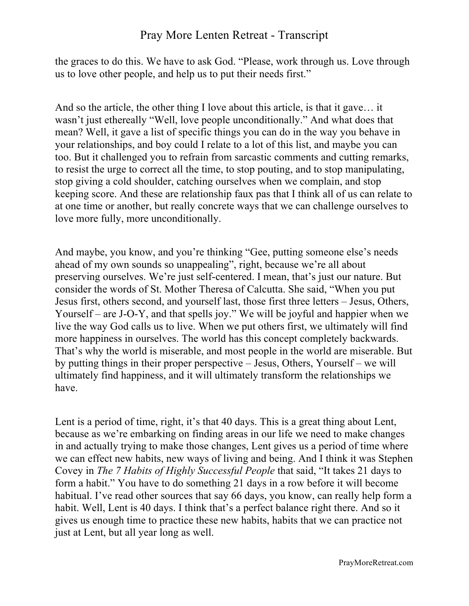the graces to do this. We have to ask God. "Please, work through us. Love through us to love other people, and help us to put their needs first."

And so the article, the other thing I love about this article, is that it gave… it wasn't just ethereally "Well, love people unconditionally." And what does that mean? Well, it gave a list of specific things you can do in the way you behave in your relationships, and boy could I relate to a lot of this list, and maybe you can too. But it challenged you to refrain from sarcastic comments and cutting remarks, to resist the urge to correct all the time, to stop pouting, and to stop manipulating, stop giving a cold shoulder, catching ourselves when we complain, and stop keeping score. And these are relationship faux pas that I think all of us can relate to at one time or another, but really concrete ways that we can challenge ourselves to love more fully, more unconditionally.

And maybe, you know, and you're thinking "Gee, putting someone else's needs ahead of my own sounds so unappealing", right, because we're all about preserving ourselves. We're just self-centered. I mean, that's just our nature. But consider the words of St. Mother Theresa of Calcutta. She said, "When you put Jesus first, others second, and yourself last, those first three letters – Jesus, Others, Yourself – are J-O-Y, and that spells joy." We will be joyful and happier when we live the way God calls us to live. When we put others first, we ultimately will find more happiness in ourselves. The world has this concept completely backwards. That's why the world is miserable, and most people in the world are miserable. But by putting things in their proper perspective – Jesus, Others, Yourself – we will ultimately find happiness, and it will ultimately transform the relationships we have.

Lent is a period of time, right, it's that 40 days. This is a great thing about Lent, because as we're embarking on finding areas in our life we need to make changes in and actually trying to make those changes, Lent gives us a period of time where we can effect new habits, new ways of living and being. And I think it was Stephen Covey in *The 7 Habits of Highly Successful People* that said, "It takes 21 days to form a habit." You have to do something 21 days in a row before it will become habitual. I've read other sources that say 66 days, you know, can really help form a habit. Well, Lent is 40 days. I think that's a perfect balance right there. And so it gives us enough time to practice these new habits, habits that we can practice not just at Lent, but all year long as well.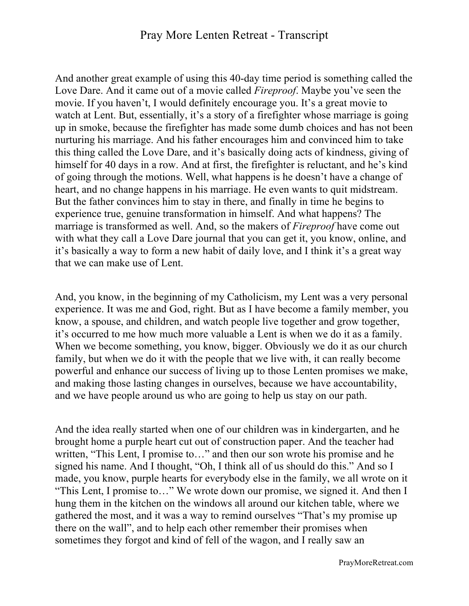And another great example of using this 40-day time period is something called the Love Dare. And it came out of a movie called *Fireproof*. Maybe you've seen the movie. If you haven't, I would definitely encourage you. It's a great movie to watch at Lent. But, essentially, it's a story of a firefighter whose marriage is going up in smoke, because the firefighter has made some dumb choices and has not been nurturing his marriage. And his father encourages him and convinced him to take this thing called the Love Dare, and it's basically doing acts of kindness, giving of himself for 40 days in a row. And at first, the firefighter is reluctant, and he's kind of going through the motions. Well, what happens is he doesn't have a change of heart, and no change happens in his marriage. He even wants to quit midstream. But the father convinces him to stay in there, and finally in time he begins to experience true, genuine transformation in himself. And what happens? The marriage is transformed as well. And, so the makers of *Fireproof* have come out with what they call a Love Dare journal that you can get it, you know, online, and it's basically a way to form a new habit of daily love, and I think it's a great way that we can make use of Lent.

And, you know, in the beginning of my Catholicism, my Lent was a very personal experience. It was me and God, right. But as I have become a family member, you know, a spouse, and children, and watch people live together and grow together, it's occurred to me how much more valuable a Lent is when we do it as a family. When we become something, you know, bigger. Obviously we do it as our church family, but when we do it with the people that we live with, it can really become powerful and enhance our success of living up to those Lenten promises we make, and making those lasting changes in ourselves, because we have accountability, and we have people around us who are going to help us stay on our path.

And the idea really started when one of our children was in kindergarten, and he brought home a purple heart cut out of construction paper. And the teacher had written, "This Lent, I promise to…" and then our son wrote his promise and he signed his name. And I thought, "Oh, I think all of us should do this." And so I made, you know, purple hearts for everybody else in the family, we all wrote on it "This Lent, I promise to…" We wrote down our promise, we signed it. And then I hung them in the kitchen on the windows all around our kitchen table, where we gathered the most, and it was a way to remind ourselves "That's my promise up there on the wall", and to help each other remember their promises when sometimes they forgot and kind of fell of the wagon, and I really saw an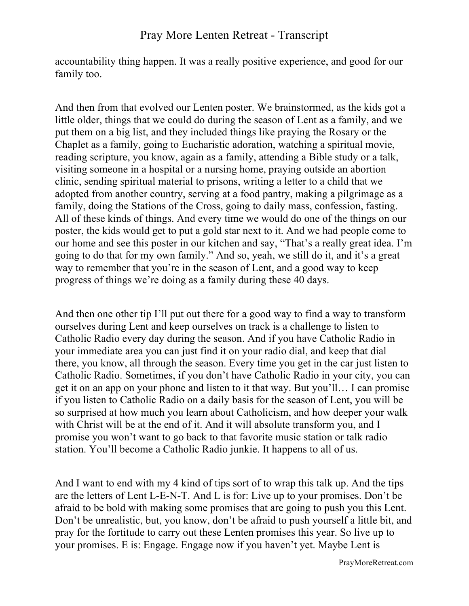accountability thing happen. It was a really positive experience, and good for our family too.

And then from that evolved our Lenten poster. We brainstormed, as the kids got a little older, things that we could do during the season of Lent as a family, and we put them on a big list, and they included things like praying the Rosary or the Chaplet as a family, going to Eucharistic adoration, watching a spiritual movie, reading scripture, you know, again as a family, attending a Bible study or a talk, visiting someone in a hospital or a nursing home, praying outside an abortion clinic, sending spiritual material to prisons, writing a letter to a child that we adopted from another country, serving at a food pantry, making a pilgrimage as a family, doing the Stations of the Cross, going to daily mass, confession, fasting. All of these kinds of things. And every time we would do one of the things on our poster, the kids would get to put a gold star next to it. And we had people come to our home and see this poster in our kitchen and say, "That's a really great idea. I'm going to do that for my own family." And so, yeah, we still do it, and it's a great way to remember that you're in the season of Lent, and a good way to keep progress of things we're doing as a family during these 40 days.

And then one other tip I'll put out there for a good way to find a way to transform ourselves during Lent and keep ourselves on track is a challenge to listen to Catholic Radio every day during the season. And if you have Catholic Radio in your immediate area you can just find it on your radio dial, and keep that dial there, you know, all through the season. Every time you get in the car just listen to Catholic Radio. Sometimes, if you don't have Catholic Radio in your city, you can get it on an app on your phone and listen to it that way. But you'll… I can promise if you listen to Catholic Radio on a daily basis for the season of Lent, you will be so surprised at how much you learn about Catholicism, and how deeper your walk with Christ will be at the end of it. And it will absolute transform you, and I promise you won't want to go back to that favorite music station or talk radio station. You'll become a Catholic Radio junkie. It happens to all of us.

And I want to end with my 4 kind of tips sort of to wrap this talk up. And the tips are the letters of Lent L-E-N-T. And L is for: Live up to your promises. Don't be afraid to be bold with making some promises that are going to push you this Lent. Don't be unrealistic, but, you know, don't be afraid to push yourself a little bit, and pray for the fortitude to carry out these Lenten promises this year. So live up to your promises. E is: Engage. Engage now if you haven't yet. Maybe Lent is